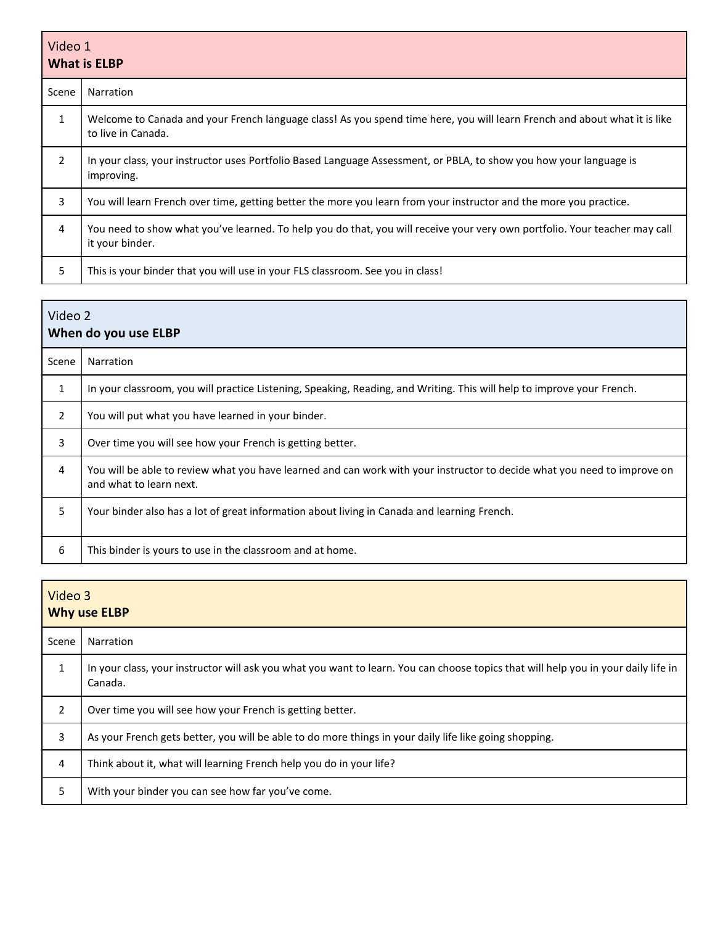| Video 1<br><b>What is ELBP</b> |                                                                                                                                                 |  |
|--------------------------------|-------------------------------------------------------------------------------------------------------------------------------------------------|--|
| Scene                          | Narration                                                                                                                                       |  |
| $\mathbf{1}$                   | Welcome to Canada and your French language class! As you spend time here, you will learn French and about what it is like<br>to live in Canada. |  |
| $\overline{2}$                 | In your class, your instructor uses Portfolio Based Language Assessment, or PBLA, to show you how your language is<br>improving.                |  |
| 3                              | You will learn French over time, getting better the more you learn from your instructor and the more you practice.                              |  |
| 4                              | You need to show what you've learned. To help you do that, you will receive your very own portfolio. Your teacher may call<br>it your binder.   |  |
| 5                              | This is your binder that you will use in your FLS classroom. See you in class!                                                                  |  |

| Video 2<br>When do you use ELBP |                                                                                                                                                     |  |
|---------------------------------|-----------------------------------------------------------------------------------------------------------------------------------------------------|--|
| Scene                           | <b>Narration</b>                                                                                                                                    |  |
| $\mathbf{1}$                    | In your classroom, you will practice Listening, Speaking, Reading, and Writing. This will help to improve your French.                              |  |
| 2                               | You will put what you have learned in your binder.                                                                                                  |  |
| 3                               | Over time you will see how your French is getting better.                                                                                           |  |
| 4                               | You will be able to review what you have learned and can work with your instructor to decide what you need to improve on<br>and what to learn next. |  |
| 5                               | Your binder also has a lot of great information about living in Canada and learning French.                                                         |  |
| 6                               | This binder is yours to use in the classroom and at home.                                                                                           |  |

| Video 3<br><b>Why use ELBP</b> |                                                                                                                                               |
|--------------------------------|-----------------------------------------------------------------------------------------------------------------------------------------------|
| Scene                          | Narration                                                                                                                                     |
| 1                              | In your class, your instructor will ask you what you want to learn. You can choose topics that will help you in your daily life in<br>Canada. |
| $\overline{2}$                 | Over time you will see how your French is getting better.                                                                                     |
| 3                              | As your French gets better, you will be able to do more things in your daily life like going shopping.                                        |
| 4                              | Think about it, what will learning French help you do in your life?                                                                           |
| 5                              | With your binder you can see how far you've come.                                                                                             |